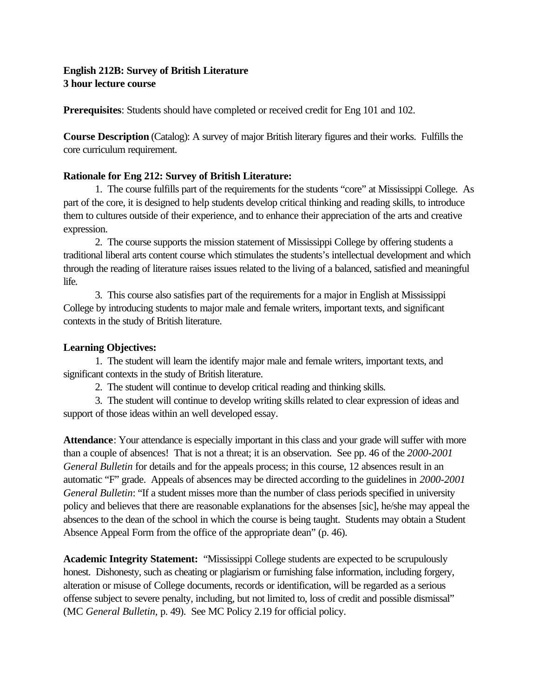# **English 212B: Survey of British Literature 3 hour lecture course**

**Prerequisites**: Students should have completed or received credit for Eng 101 and 102.

**Course Description** (Catalog): A survey of major British literary figures and their works. Fulfills the core curriculum requirement.

## **Rationale for Eng 212: Survey of British Literature:**

1. The course fulfills part of the requirements for the students "core" at Mississippi College. As part of the core, it is designed to help students develop critical thinking and reading skills, to introduce them to cultures outside of their experience, and to enhance their appreciation of the arts and creative expression.

2. The course supports the mission statement of Mississippi College by offering students a traditional liberal arts content course which stimulates the students's intellectual development and which through the reading of literature raises issues related to the living of a balanced, satisfied and meaningful life.

3. This course also satisfies part of the requirements for a major in English at Mississippi College by introducing students to major male and female writers, important texts, and significant contexts in the study of British literature.

## **Learning Objectives:**

1. The student will learn the identify major male and female writers, important texts, and significant contexts in the study of British literature.

2. The student will continue to develop critical reading and thinking skills.

3. The student will continue to develop writing skills related to clear expression of ideas and support of those ideas within an well developed essay.

**Attendance**: Your attendance is especially important in this class and your grade will suffer with more than a couple of absences! That is not a threat; it is an observation. See pp. 46 of the *2000-2001 General Bulletin* for details and for the appeals process; in this course, 12 absences result in an automatic "F" grade. Appeals of absences may be directed according to the guidelines in *2000-2001 General Bulletin*: "If a student misses more than the number of class periods specified in university policy and believes that there are reasonable explanations for the absenses [sic], he/she may appeal the absences to the dean of the school in which the course is being taught. Students may obtain a Student Absence Appeal Form from the office of the appropriate dean" (p. 46).

**Academic Integrity Statement:** "Mississippi College students are expected to be scrupulously honest. Dishonesty, such as cheating or plagiarism or furnishing false information, including forgery, alteration or misuse of College documents, records or identification, will be regarded as a serious offense subject to severe penalty, including, but not limited to, loss of credit and possible dismissal" (MC *General Bulletin,* p. 49). See MC Policy 2.19 for official policy.